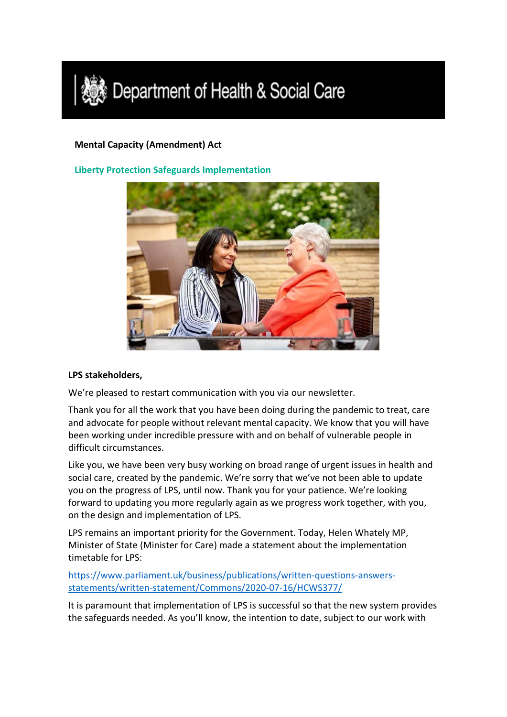

## **Mental Capacity (Amendment) Act**

**Liberty Protection Safeguards Implementation**



## **LPS stakeholders,**

We're pleased to restart communication with you via our newsletter.

Thank you for all the work that you have been doing during the pandemic to treat, care and advocate for people without relevant mental capacity. We know that you will have been working under incredible pressure with and on behalf of vulnerable people in difficult circumstances.

Like you, we have been very busy working on broad range of urgent issues in health and social care, created by the pandemic. We're sorry that we've not been able to update you on the progress of LPS, until now. Thank you for your patience. We're looking forward to updating you more regularly again as we progress work together, with you, on the design and implementation of LPS.

LPS remains an important priority for the Government. Today, Helen Whately MP, Minister of State (Minister for Care) made a statement about the implementation timetable for LPS:

[https://www.parliament.uk/business/publications/written-questions-answers](https://www.parliament.uk/business/publications/written-questions-answers-statements/written-statement/Commons/2020-07-16/HCWS377/)[statements/written-statement/Commons/2020-07-16/HCWS377/](https://www.parliament.uk/business/publications/written-questions-answers-statements/written-statement/Commons/2020-07-16/HCWS377/)

It is paramount that implementation of LPS is successful so that the new system provides the safeguards needed. As you'll know, the intention to date, subject to our work with